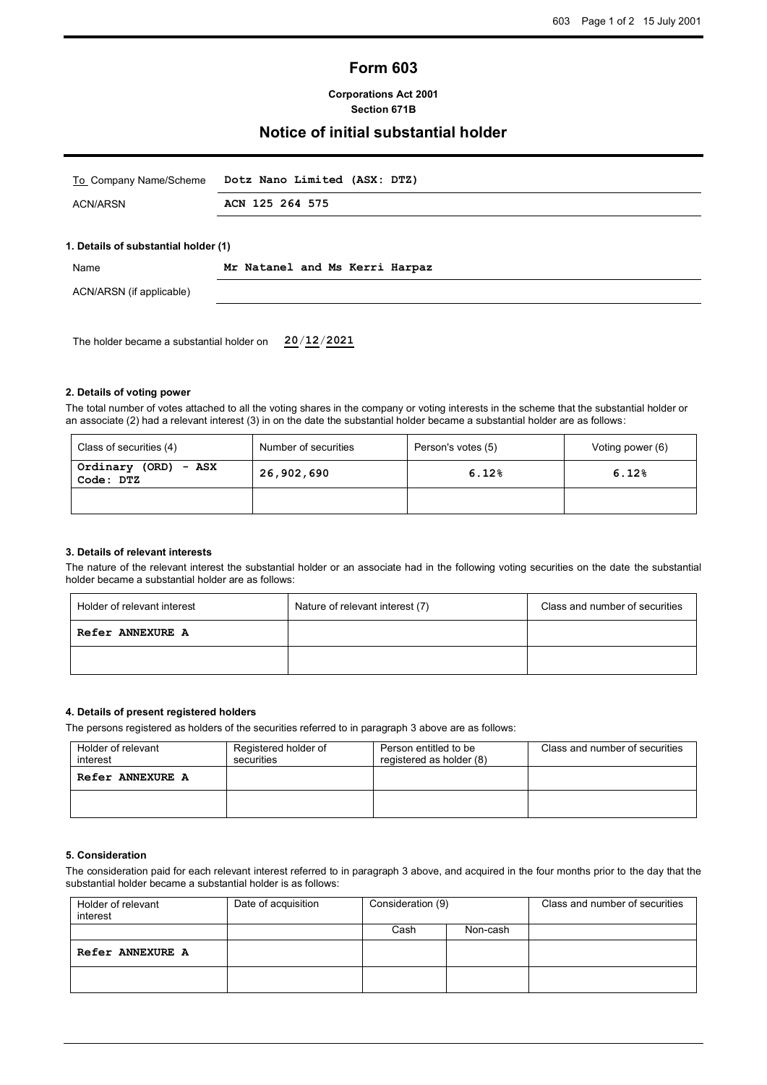# **Form 603**

**Corporations Act 2001 Section 671B**

### **Notice of initial substantial holder**

| To Company Name/Scheme               | Dotz Nano Limited (ASX: DTZ)   |
|--------------------------------------|--------------------------------|
| <b>ACN/ARSN</b>                      | ACN 125 264 575                |
|                                      |                                |
| 1. Details of substantial holder (1) |                                |
|                                      |                                |
| Name                                 | Mr Natanel and Ms Kerri Harpaz |

The holder became a substantial holder on **20**/**12**/**2021**

#### **2. Details of voting power**

The total number of votes attached to all the voting shares in the company or voting interests in the scheme that the substantial holder or an associate (2) had a relevant interest (3) in on the date the substantial holder became a substantial holder are as follows:

| Class of securities (4)              | Number of securities | Person's votes (5) | Voting power (6) |
|--------------------------------------|----------------------|--------------------|------------------|
| Ordinary (ORD)<br>- ASX<br>Code: DTZ | 26,902,690           | 6.12%              | 6.12%            |
|                                      |                      |                    |                  |

#### **3. Details of relevant interests**

The nature of the relevant interest the substantial holder or an associate had in the following voting securities on the date the substantial holder became a substantial holder are as follows:

| Holder of relevant interest | Nature of relevant interest (7) | Class and number of securities |  |
|-----------------------------|---------------------------------|--------------------------------|--|
| <b>Refer ANNEXURE A</b>     |                                 |                                |  |
|                             |                                 |                                |  |

#### **4. Details of present registered holders**

The persons registered as holders of the securities referred to in paragraph 3 above are as follows:

| Holder of relevant<br>interest | Registered holder of<br>securities | Person entitled to be<br>registered as holder (8) | Class and number of securities |
|--------------------------------|------------------------------------|---------------------------------------------------|--------------------------------|
| Refer ANNEXURE A               |                                    |                                                   |                                |
|                                |                                    |                                                   |                                |

### **5. Consideration**

The consideration paid for each relevant interest referred to in paragraph 3 above, and acquired in the four months prior to the day that the substantial holder became a substantial holder is as follows:

| Holder of relevant<br>interest | Date of acquisition | Consideration (9) |          | Class and number of securities |
|--------------------------------|---------------------|-------------------|----------|--------------------------------|
|                                |                     | Cash              | Non-cash |                                |
| Refer ANNEXURE A               |                     |                   |          |                                |
|                                |                     |                   |          |                                |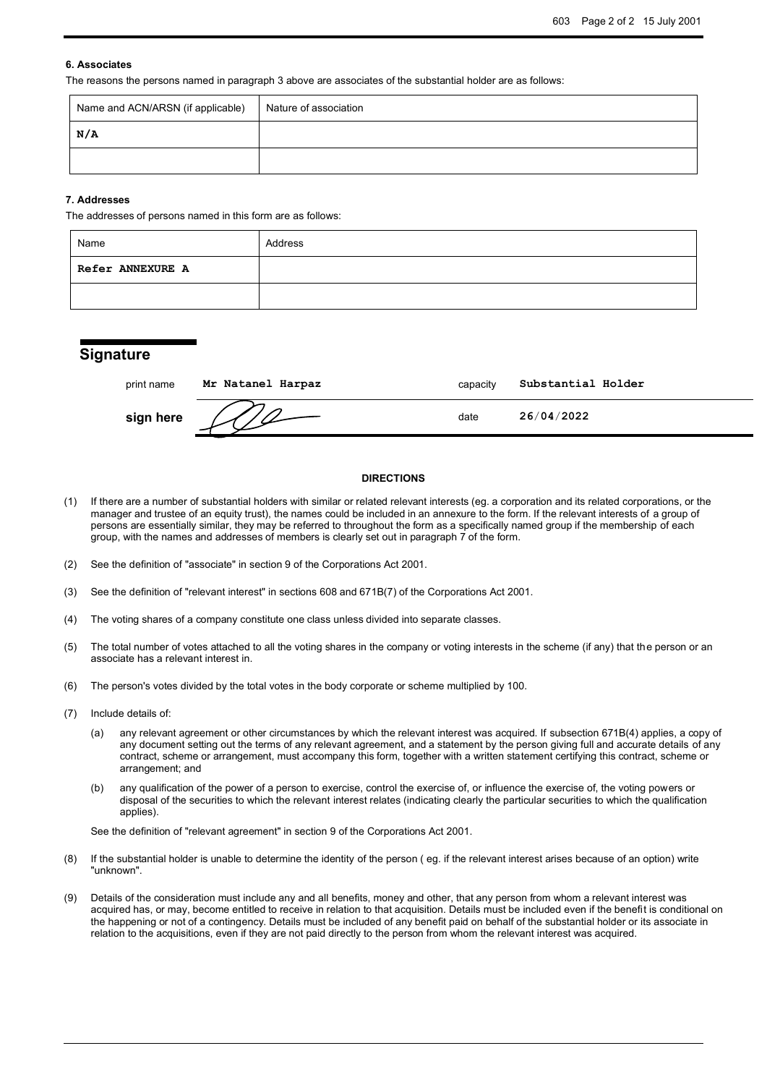#### **6. Associates**

The reasons the persons named in paragraph 3 above are associates of the substantial holder are as follows:

| Name and ACN/ARSN (if applicable) | Nature of association |
|-----------------------------------|-----------------------|
| N/A                               |                       |
|                                   |                       |

#### **7. Addresses**

The addresses of persons named in this form are as follows:

| Name                    | Address |
|-------------------------|---------|
| <b>Refer ANNEXURE A</b> |         |
|                         |         |

## **Signature**

| print name | Mr Natanel Harpaz | capacity | Substantial Holder |
|------------|-------------------|----------|--------------------|
| sign here  |                   | date     | 26/04/2022         |

#### **DIRECTIONS**

- (1) If there are a number of substantial holders with similar or related relevant interests (eg. a corporation and its related corporations, or the manager and trustee of an equity trust), the names could be included in an annexure to the form. If the relevant interests of a group of persons are essentially similar, they may be referred to throughout the form as a specifically named group if the membership of each group, with the names and addresses of members is clearly set out in paragraph 7 of the form.
- (2) See the definition of "associate" in section 9 of the Corporations Act 2001.
- (3) See the definition of "relevant interest" in sections 608 and 671B(7) of the Corporations Act 2001.
- (4) The voting shares of a company constitute one class unless divided into separate classes.
- (5) The total number of votes attached to all the voting shares in the company or voting interests in the scheme (if any) that the person or an associate has a relevant interest in.
- (6) The person's votes divided by the total votes in the body corporate or scheme multiplied by 100.
- (7) Include details of:
	- (a) any relevant agreement or other circumstances by which the relevant interest was acquired. If subsection 671B(4) applies, a copy of any document setting out the terms of any relevant agreement, and a statement by the person giving full and accurate details of any contract, scheme or arrangement, must accompany this form, together with a written statement certifying this contract, scheme or arrangement; and
	- (b) any qualification of the power of a person to exercise, control the exercise of, or influence the exercise of, the voting powers or disposal of the securities to which the relevant interest relates (indicating clearly the particular securities to which the qualification applies).

See the definition of "relevant agreement" in section 9 of the Corporations Act 2001.

- (8) If the substantial holder is unable to determine the identity of the person ( eg. if the relevant interest arises because of an option) write "unknown".
- (9) Details of the consideration must include any and all benefits, money and other, that any person from whom a relevant interest was acquired has, or may, become entitled to receive in relation to that acquisition. Details must be included even if the benefit is conditional on the happening or not of a contingency. Details must be included of any benefit paid on behalf of the substantial holder or its associate in relation to the acquisitions, even if they are not paid directly to the person from whom the relevant interest was acquired.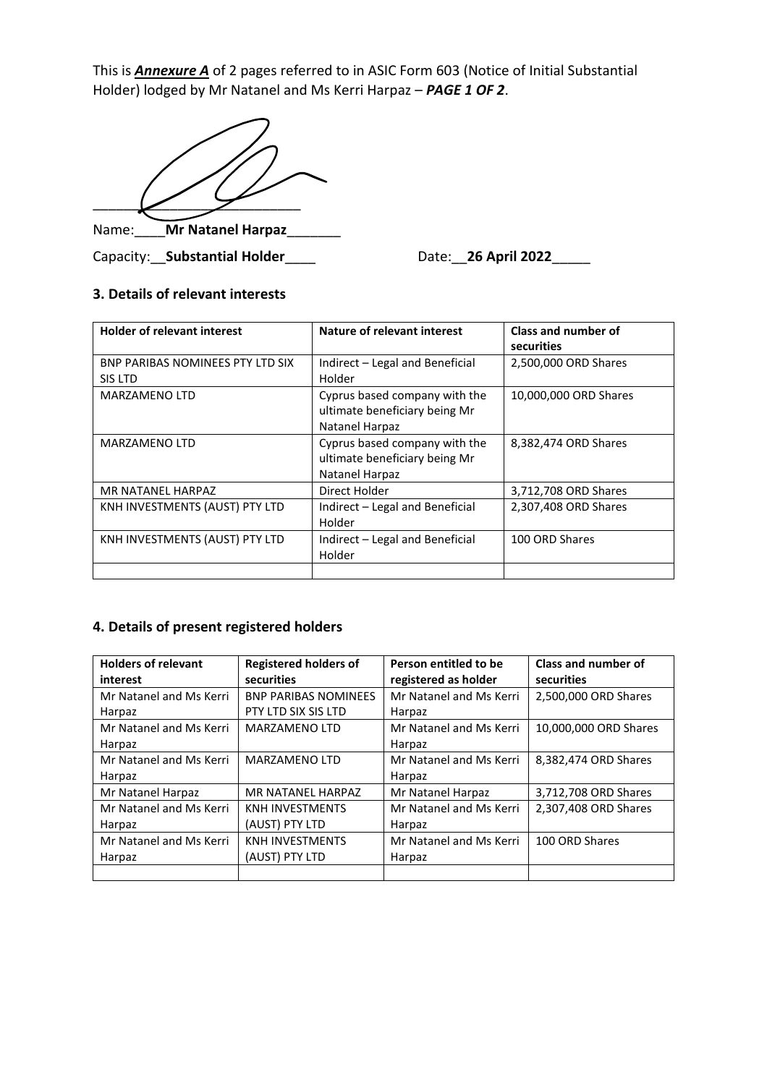This is *Annexure A* of 2 pages referred to in ASIC Form 603 (Notice of Initial Substantial Holder) lodged by Mr Natanel and Ms Kerri Harpaz - PAGE 1 OF 2.

 $\angle$   $\angle$   $\angle$ Name:\_\_\_\_**Mr Natanel Harpaz**\_\_\_\_\_\_\_

Capacity: Substantial Holder \_\_\_\_ Date: 26 April 2022\_\_\_\_

## **3. Details of relevant interests**

| <b>Holder of relevant interest</b>          | Nature of relevant interest                                                      | Class and number of<br>securities |
|---------------------------------------------|----------------------------------------------------------------------------------|-----------------------------------|
| BNP PARIBAS NOMINEES PTY LTD SIX<br>SIS LTD | Indirect - Legal and Beneficial<br>Holder                                        | 2,500,000 ORD Shares              |
| MARZAMENO LTD                               | Cyprus based company with the<br>ultimate beneficiary being Mr<br>Natanel Harpaz | 10,000,000 ORD Shares             |
| MARZAMENO LTD                               | Cyprus based company with the<br>ultimate beneficiary being Mr<br>Natanel Harpaz | 8,382,474 ORD Shares              |
| MR NATANEL HARPAZ                           | Direct Holder                                                                    | 3,712,708 ORD Shares              |
| KNH INVESTMENTS (AUST) PTY LTD              | Indirect - Legal and Beneficial<br>Holder                                        | 2,307,408 ORD Shares              |
| KNH INVESTMENTS (AUST) PTY LTD              | Indirect - Legal and Beneficial<br>Holder                                        | 100 ORD Shares                    |
|                                             |                                                                                  |                                   |

## **4. Details of present registered holders**

| <b>Holders of relevant</b> | <b>Registered holders of</b> | Person entitled to be   | <b>Class and number of</b> |  |
|----------------------------|------------------------------|-------------------------|----------------------------|--|
| interest                   | securities                   | registered as holder    | securities                 |  |
| Mr Natanel and Ms Kerri    | <b>BNP PARIBAS NOMINEES</b>  | Mr Natanel and Ms Kerri | 2,500,000 ORD Shares       |  |
| Harpaz                     | PTY LTD SIX SIS LTD          | Harpaz                  |                            |  |
| Mr Natanel and Ms Kerri    | <b>MARZAMENO LTD</b>         | Mr Natanel and Ms Kerri | 10,000,000 ORD Shares      |  |
| Harpaz                     |                              | Harpaz                  |                            |  |
| Mr Natanel and Ms Kerri    | <b>MARZAMENO LTD</b>         | Mr Natanel and Ms Kerri | 8,382,474 ORD Shares       |  |
| Harpaz                     |                              | Harpaz                  |                            |  |
| Mr Natanel Harpaz          | MR NATANEL HARPAZ            | Mr Natanel Harpaz       | 3,712,708 ORD Shares       |  |
| Mr Natanel and Ms Kerri    | <b>KNH INVESTMENTS</b>       | Mr Natanel and Ms Kerri | 2,307,408 ORD Shares       |  |
| Harpaz                     | (AUST) PTY LTD               | Harpaz                  |                            |  |
| Mr Natanel and Ms Kerri    | <b>KNH INVESTMENTS</b>       | Mr Natanel and Ms Kerri | 100 ORD Shares             |  |
| Harpaz                     | (AUST) PTY LTD               | Harpaz                  |                            |  |
|                            |                              |                         |                            |  |